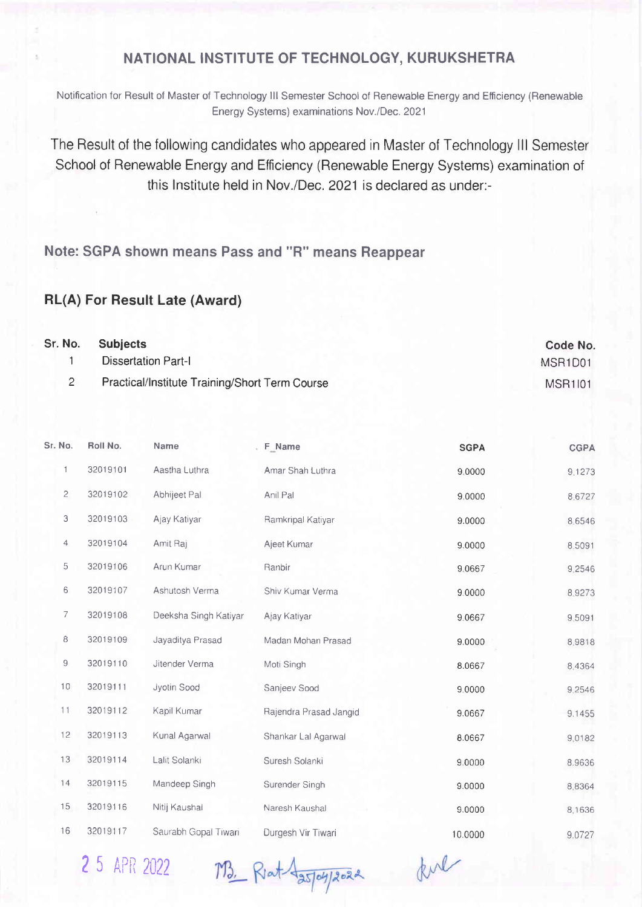## NATIONAL INSTITUTE OF TECHNOLOGY, KURUKSHETRA

Notification for Result of Master of Technology lll Semester School ot Renewable Energy and Etficiency (Renewable Energy Systems) examinations Nov./Dec. 2021

The Result of the following candidates who appeared in Master of Technology III Semester School of Renewable Energy and Efficiency (Renewable Energy Systems) examination of this lnstitute held in Nov./Dec.2021 is declared as under:-

Note: SGPA shown means Pass and "R" means Reappear

## RL(A) For Result Late (Award)

| Sr. No. | <b>Subjects</b>                                | <b>Code No</b>                   |
|---------|------------------------------------------------|----------------------------------|
|         | Dissertation Part-I                            | MSR <sub>1</sub> D <sub>01</sub> |
|         | Practical/Institute Training/Short Term Course | <b>MSR1101</b>                   |

| Sr. No.        | Roll No. | Name                  | F_Name                 | <b>SGPA</b> | <b>CGPA</b> |
|----------------|----------|-----------------------|------------------------|-------------|-------------|
| 1              | 32019101 | Aastha Luthra         | Amar Shah Luthra       | 9.0000      | 9.1273      |
| $\overline{c}$ | 32019102 | Abhijeet Pal          | Anil Pal               | 9.0000      | 8.6727      |
| З              | 32019103 | Ajay Katiyar          | Ramkripal Katiyar      | 9.0000      | 8.6546      |
| $\overline{4}$ | 32019104 | Amit Raj              | Ajeet Kumar            | 9.0000      | 8.5091      |
| 5              | 32019106 | Arun Kumar            | Ranbir                 | 9.0667      | 9,2546      |
| 6              | 32019107 | Ashutosh Verma        | Shiv Kumar Verma       | 9.0000      | 8.9273      |
| 7              | 32019108 | Deeksha Singh Katiyar | Ajay Katiyar           | 9.0667      | 9.5091      |
| 8              | 32019109 | Jayaditya Prasad      | Madan Mohan Prasad     | 9.0000      | 8.9818      |
| 9              | 32019110 | Jitender Verma        | Moti Singh             | 8.0667      | 8.4364      |
| 10             | 32019111 | Jyotin Sood           | Sanjeev Sood           | 9,0000      | 9.2546      |
| 11             | 32019112 | Kapil Kumar           | Rajendra Prasad Jangid | 9.0667      | 9.1455      |
| 12             | 32019113 | Kunal Agarwal         | Shankar Lal Agarwal    | 8.0667      | 9.0182      |
| 13             | 32019114 | Lalit Solanki         | Suresh Solanki         | 9.0000      | 8.9636      |
| 14             | 32019115 | Mandeep Singh         | Surender Singh         | 9.0000      | 8,8364      |
| 15             | 32019116 | Nitij Kaushal         | Naresh Kaushal         | 9.0000      | 8.1636      |
| 16             | 32019117 | Saurabh Gopal Tiwari  | Durgesh Vir Tiwari     | 10.0000     | 9.0727      |

2 5 APR 2022

M3. Riat Azory 2022

ful